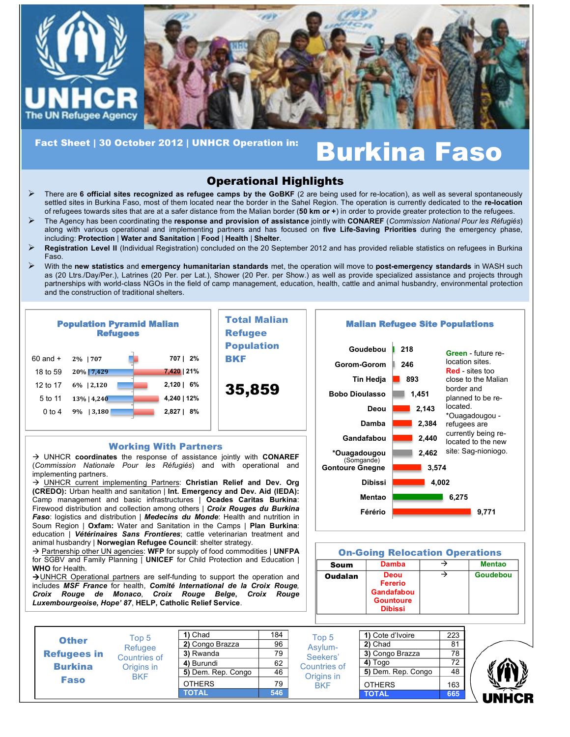

# Fact Sheet | 30 October 2012 | UNHCR Operation in: **Burkina Faso**

# Operational Highlights

- ! There are **6 official sites recognized as refugee camps by the GoBKF** (2 are being used for re-location), as well as several spontaneously settled sites in Burkina Faso, most of them located near the border in the Sahel Region. The operation is currently dedicated to the **re-location**  of refugees towards sites that are at a safer distance from the Malian border (**50 km or +**) in order to provide greater protection to the refugees.
- ! The Agency has been coordinating the **response and provision of assistance** jointly with **CONAREF** (*Commission National Pour les Réfugiés*) along with various operational and implementing partners and has focused on **five Life-Saving Priorities** during the emergency phase, including: **Protection** | **Water and Sanitation** | **Food** | **Health** | **Shelter**.
- ! **Registration Level II** (Individual Registration) concluded on the 20 September 2012 and has provided reliable statistics on refugees in Burkina Faso.
- ! With the **new statistics** and **emergency humanitarian standards** met, the operation will move to **post-emergency standards** in WASH such as (20 Ltrs./Day/Per.), Latrines (20 Per. per Lat.), Shower (20 Per. per Show.) as well as provide specialized assistance and projects through partnerships with world-class NGOs in the field of camp management, education, health, cattle and animal husbandry, environmental protection and the construction of traditional shelters.